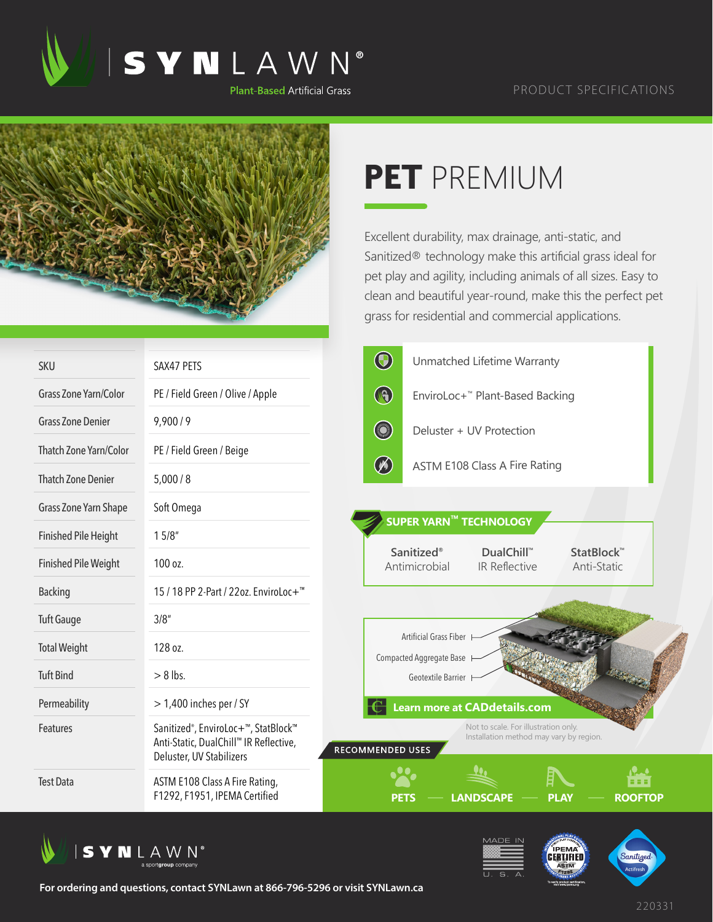



## **PET** PREMIUM

Excellent durability, max drainage, anti-static, and Sanitized® technology make this artificial grass ideal for pet play and agility, including animals of all sizes. Easy to clean and beautiful year-round, make this the perfect pet grass for residential and commercial applications.

| <b>SKU</b>                  | SAX47 PETS                                                                                                                          | $\bigcirc$<br>Unmatched Lifetime Warranty                                                                  |  |  |  |  |
|-----------------------------|-------------------------------------------------------------------------------------------------------------------------------------|------------------------------------------------------------------------------------------------------------|--|--|--|--|
| Grass Zone Yarn/Color       | PE / Field Green / Olive / Apple                                                                                                    | $\bigcirc$<br>EnviroLoc+™ Plant-Based Backing                                                              |  |  |  |  |
| <b>Grass Zone Denier</b>    | 9,900/9                                                                                                                             | <b>CONTROL</b><br>Deluster + UV Protection                                                                 |  |  |  |  |
| Thatch Zone Yarn/Color      | PE / Field Green / Beige                                                                                                            |                                                                                                            |  |  |  |  |
| <b>Thatch Zone Denier</b>   | 5,000/8                                                                                                                             | $\left(\mathscr{N}\right)$<br>ASTM E108 Class A Fire Rating                                                |  |  |  |  |
| Grass Zone Yarn Shape       | Soft Omega                                                                                                                          | SUPER YARN™ TECHNOLOGY                                                                                     |  |  |  |  |
| <b>Finished Pile Height</b> | 15/8"                                                                                                                               |                                                                                                            |  |  |  |  |
| <b>Finished Pile Weight</b> | 100 oz.                                                                                                                             | Sanitized <sup>®</sup><br>DualChill™<br>StatBlock™<br>Antimicrobial<br><b>IR Reflective</b><br>Anti-Static |  |  |  |  |
| <b>Backing</b>              | 15 / 18 PP 2-Part / 22oz. EnviroLoc+ <sup>™</sup>                                                                                   |                                                                                                            |  |  |  |  |
| <b>Tuft Gauge</b>           | 3/8''                                                                                                                               |                                                                                                            |  |  |  |  |
| <b>Total Weight</b>         | 128 oz.                                                                                                                             | Artificial Grass Fiber<br>Compacted Aggregate Base                                                         |  |  |  |  |
| <b>Tuft Bind</b>            | $> 8$ lbs.                                                                                                                          | Geotextile Barrier                                                                                         |  |  |  |  |
| Permeability                | $>$ 1,400 inches per / SY                                                                                                           | <b>Learn more at CADdetails.com</b>                                                                        |  |  |  |  |
| <b>Features</b>             | Sanitized <sup>®</sup> , EnviroLoc+ <sup>™</sup> , StatBlock™<br>Anti-Static, DualChill™ IR Reflective,<br>Deluster, UV Stabilizers | Not to scale. For illustration only.<br>Installation method may vary by region.<br>RECOMMENDED USES        |  |  |  |  |
| <b>Test Data</b>            | ASTM E108 Class A Fire Rating,<br>F1292, F1951, IPEMA Certified                                                                     | 18 E I<br><b>ROOFTOP</b><br><b>LANDSCAPE</b><br>PL AV<br>PETS                                              |  |  |  |  |







**For ordering and questions, contact SYNLawn at 866-796-5296 or visit SYNLawn.ca**